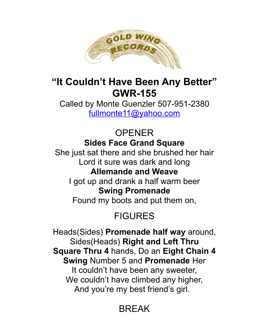

### **"It Couldn't Have Been Any Better" GWR-155**

Called by Monte Guenzler 507-951-2380 [fullmonte11@yahoo.com](mailto:fullmonte11@yahoo.com)

> OPENER **Sides Face Grand Square**

She just sat there and she brushed her hair Lord it sure was dark and long **Allemande and Weave**

I got up and drank a half warm beer **Swing Promenade**

Found my boots and put them on,

# FIGURES

Heads(Sides) **Promenade half way** around, Sides(Heads) **Right and Left Thru Square Thru 4** hands, Do an **Eight Chain 4 Swing** Number 5 and **Promenade** Her It couldn't have been any sweeter, We couldn't have climbed any higher, And you're my best friend's girl.

# **BRFAK**